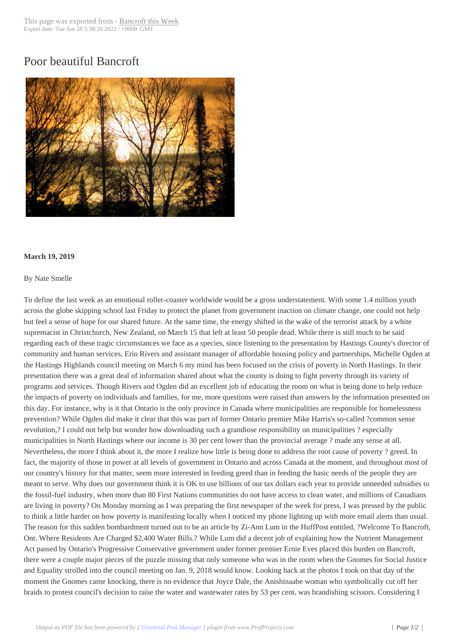## Poor beautiful Ban[croft](http://www.bancroftthisweek.com/?p=9630)



## **March 19, 2019**

## By Nate Smelle

To define the last week as an emotional roller-coaster worldwide would be a gross understatement. With some 1.4 million youth across the globe skipping school last Friday to protect the planet from government inaction on climate change, one could not help but feel a sense of hope for our shared future. At the same time, the energy shifted in the wake of the terrorist attack by a white supremacist in Christchurch, New Zealand, on March 15 that left at least 50 people dead. While there is still much to be said regarding each of these tragic circumstances we face as a species, since listening to the presentation by Hastings County's director of community and human services, Erin Rivers and assistant manager of affordable housing policy and partnerships, Michelle Ogden at the Hastings Highlands council meeting on March 6 my mind has been focused on the crisis of poverty in North Hastings. In their presentation there was a great deal of information shared about what the county is doing to fight poverty through its variety of programs and services. Though Rivers and Ogden did an excellent job of educating the room on what is being done to help reduce the impacts of poverty on individuals and families, for me, more questions were raised than answers by the information presented on this day. For instance, why is it that Ontario is the only province in Canada where municipalities are responsible for homelessness prevention? While Ogden did make it clear that this was part of former Ontario premier Mike Harris's so-called ?common sense revolution,? I could not help but wonder how downloading such a grandiose responsibility on municipalities ? especially municipalities in North Hastings where our income is 30 per cent lower than the provincial average ? made any sense at all. Nevertheless, the more I think about it, the more I realize how little is being done to address the root cause of poverty ? greed. In fact, the majority of those in power at all levels of government in Ontario and across Canada at the moment, and throughout most of our country's history for that matter, seem more interested in feeding greed than in feeding the basic needs of the people they are meant to serve. Why does our government think it is OK to use billions of our tax dollars each year to provide unneeded subsidies to the fossil-fuel industry, when more than 80 First Nations communities do not have access to clean water, and millions of Canadians are living in poverty? On Monday morning as I was preparing the first newspaper of the week for press, I was pressed by the public to think a little harder on how poverty is manifesting locally when I noticed my phone lighting up with more email alerts than usual. The reason for this sudden bombardment turned out to be an article by Zi-Ann Lum in the HuffPost entitled, ?Welcome To Bancroft, Ont. Where Residents Are Charged \$2,400 Water Bills.? While Lum did a decent job of explaining how the Nutrient Management Act passed by Ontario's Progressive Conservative government under former premier Ernie Eves placed this burden on Bancroft, there were a couple major pieces of the puzzle missing that only someone who was in the room when the Gnomes for Social Justice and Equality strolled into the council meeting on Jan. 9, 2018 would know. Looking back at the photos I took on that day of the moment the Gnomes came knocking, there is no evidence that Joyce Dale, the Anishinaabe woman who symbolically cut off her braids to protest council's decision to raise the water and wastewater rates by 53 per cent, was brandishing scissors. Considering I